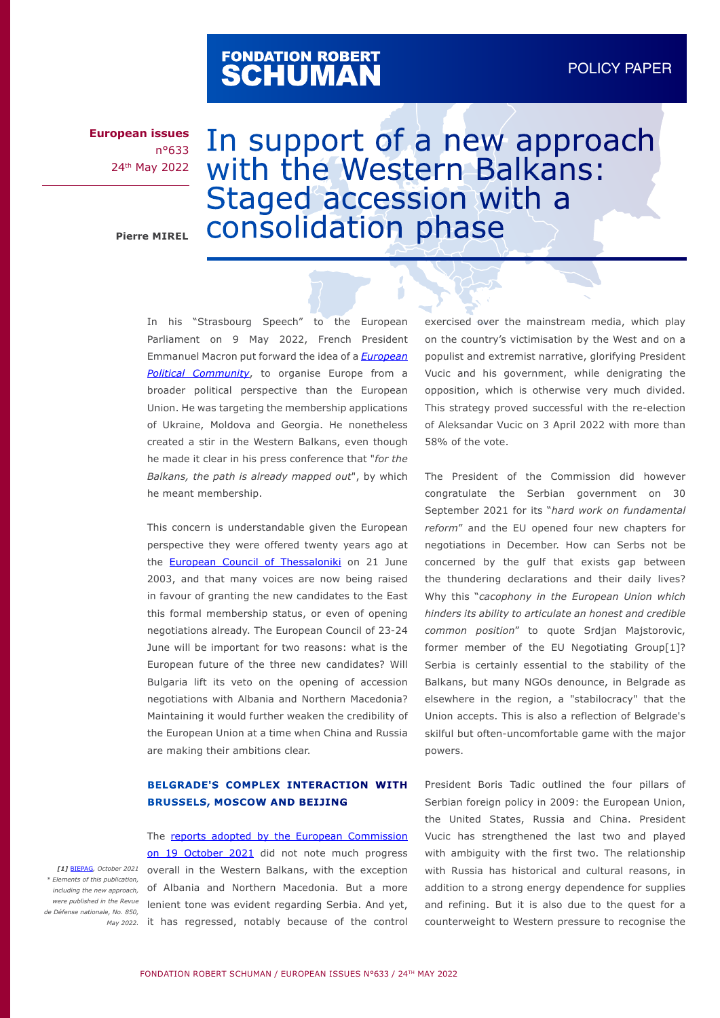# FONDATION ROBERT<br>**SCHUMAN**

**European issues** n°633 24th May 2022

# In support of a new approach with the Western Balkans: Staged accession with a Pierre MIREL **CONSOlidation** phase

Ń

In his "Strasbourg Speech" to the European Parliament on 9 May 2022, French President Emmanuel Macron put forward the idea of a *[European](https://www.elysee.fr/en/emmanuel-macron/2022/05/09/closure-of-the-conference-on-the-future-of-europe) [Political Community](https://www.elysee.fr/en/emmanuel-macron/2022/05/09/closure-of-the-conference-on-the-future-of-europe)*, to organise Europe from a broader political perspective than the European Union. He was targeting the membership applications of Ukraine, Moldova and Georgia. He nonetheless created a stir in the Western Balkans, even though he made it clear in his press conference that "*for the Balkans, the path is already mapped out*", by which he meant membership.

This concern is understandable given the European perspective they were offered twenty years ago at the **[European Council of Thessaloniki](https://www.consilium.europa.eu/media/20847/76279.pdf)** on 21 June 2003, and that many voices are now being raised in favour of granting the new candidates to the East this formal membership status, or even of opening negotiations already. The European Council of 23-24 June will be important for two reasons: what is the European future of the three new candidates? Will Bulgaria lift its veto on the opening of accession negotiations with Albania and Northern Macedonia? Maintaining it would further weaken the credibility of the European Union at a time when China and Russia are making their ambitions clear.

#### **BELGRADE'S COMPLEX INTERACTION WITH BRUSSELS, MOSCOW AND BEIJING**

The [reports adopted by the European Commission](https://ec.europa.eu/commission/presscorner/detail/en/ip_21_5275) [on 19 October 2021](https://ec.europa.eu/commission/presscorner/detail/en/ip_21_5275) did not note much progress overall in the Western Balkans, with the exception of Albania and Northern Macedonia. But a more were published in the Revue lenient tone was evident regarding Serbia. And yet, May 2022. it has regressed, notably because of the control exercised over the mainstream media, which play on the country's victimisation by the West and on a populist and extremist narrative, glorifying President Vucic and his government, while denigrating the opposition, which is otherwise very much divided. This strategy proved successful with the re-election of Aleksandar Vucic on 3 April 2022 with more than 58% of the vote.

The President of the Commission did however congratulate the Serbian government on 30 September 2021 for its "*hard work on fundamental reform*" and the EU opened four new chapters for negotiations in December. How can Serbs not be concerned by the gulf that exists gap between the thundering declarations and their daily lives? Why this "*cacophony in the European Union which hinders its ability to articulate an honest and credible common position*" to quote Srdjan Majstorovic, former member of the EU Negotiating Group[1]? Serbia is certainly essential to the stability of the Balkans, but many NGOs denounce, in Belgrade as elsewhere in the region, a "stabilocracy" that the Union accepts. This is also a reflection of Belgrade's skilful but often-uncomfortable game with the major powers.

President Boris Tadic outlined the four pillars of Serbian foreign policy in 2009: the European Union, the United States, Russia and China. President Vucic has strengthened the last two and played with ambiguity with the first two. The relationship with Russia has historical and cultural reasons, in addition to a strong energy dependence for supplies and refining. But it is also due to the quest for a counterweight to Western pressure to recognise the

*[1]* [BIEPAG](https://biepag.eu/publications/)*, October 2021 \* Elements of this publication, including the new approach, de Défense nationale, No. 850,*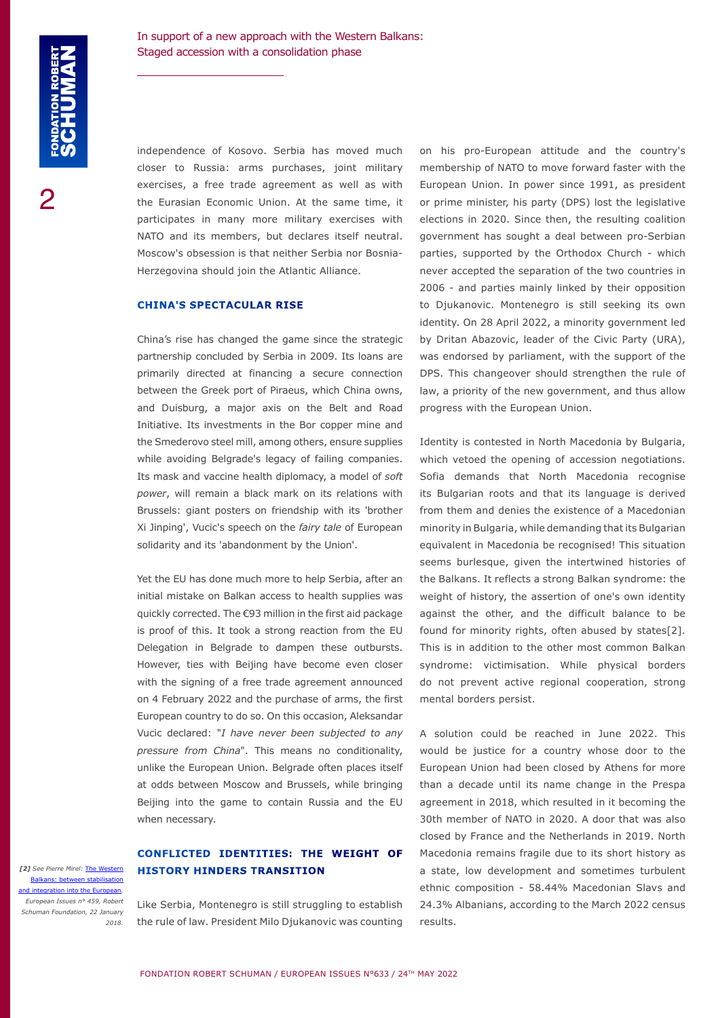independence of Kosovo. Serbia has moved much closer to Russia: arms purchases, joint military exercises, a free trade agreement as well as with the Eurasian Economic Union. At the same time, it participates in many more military exercises with NATO and its members, but declares itself neutral. Moscow's obsession is that neither Serbia nor Bosnia-Herzegovina should join the Atlantic Alliance.

#### **CHINA'S SPECTACULAR RISE**

China's rise has changed the game since the strategic partnership concluded by Serbia in 2009. Its loans are primarily directed at financing a secure connection between the Greek port of Piraeus, which China owns, and Duisburg, a major axis on the Belt and Road Initiative. Its investments in the Bor copper mine and the Smederovo steel mill, among others, ensure supplies while avoiding Belgrade's legacy of failing companies. Its mask and vaccine health diplomacy, a model of *soft power*, will remain a black mark on its relations with Brussels: giant posters on friendship with its 'brother Xi Jinping', Vucic's speech on the *fairy tale* of European solidarity and its 'abandonment by the Union'.

Yet the EU has done much more to help Serbia, after an initial mistake on Balkan access to health supplies was quickly corrected. The €93 million in the first aid package is proof of this. It took a strong reaction from the EU Delegation in Belgrade to dampen these outbursts. However, ties with Beijing have become even closer with the signing of a free trade agreement announced on 4 February 2022 and the purchase of arms, the first European country to do so. On this occasion, Aleksandar Vucic declared: "*I have never been subjected to any pressure from China*". This means no conditionality, unlike the European Union. Belgrade often places itself at odds between Moscow and Brussels, while bringing Beijing into the game to contain Russia and the EU when necessary.

## **CONFLICTED IDENTITIES: THE WEIGHT OF HISTORY HINDERS TRANSITION**

[2] See Pierre Mirel: **The West** [Balkans: between stabilisation](https://www.robert-schuman.eu/en/doc/questions-d-europe/qe-459-en.pdf) and integration into the Furo *European Issues n° 459, Robert Schuman Foundation, 22 January 2018.*

Like Serbia, Montenegro is still struggling to establish the rule of law. President Milo Djukanovic was counting

on his pro-European attitude and the country's membership of NATO to move forward faster with the European Union. In power since 1991, as president or prime minister, his party (DPS) lost the legislative elections in 2020. Since then, the resulting coalition government has sought a deal between pro-Serbian parties, supported by the Orthodox Church - which never accepted the separation of the two countries in 2006 - and parties mainly linked by their opposition to Djukanovic. Montenegro is still seeking its own identity. On 28 April 2022, a minority government led by Dritan Abazovic, leader of the Civic Party (URA), was endorsed by parliament, with the support of the DPS. This changeover should strengthen the rule of law, a priority of the new government, and thus allow progress with the European Union.

Identity is contested in North Macedonia by Bulgaria, which vetoed the opening of accession negotiations. Sofia demands that North Macedonia recognise its Bulgarian roots and that its language is derived from them and denies the existence of a Macedonian minority in Bulgaria, while demanding that its Bulgarian equivalent in Macedonia be recognised! This situation seems burlesque, given the intertwined histories of the Balkans. It reflects a strong Balkan syndrome: the weight of history, the assertion of one's own identity against the other, and the difficult balance to be found for minority rights, often abused by states[2]. This is in addition to the other most common Balkan syndrome: victimisation. While physical borders do not prevent active regional cooperation, strong mental borders persist.

A solution could be reached in June 2022. This would be justice for a country whose door to the European Union had been closed by Athens for more than a decade until its name change in the Prespa agreement in 2018, which resulted in it becoming the 30th member of NATO in 2020. A door that was also closed by France and the Netherlands in 2019. North Macedonia remains fragile due to its short history as a state, low development and sometimes turbulent ethnic composition - 58.44% Macedonian Slavs and 24.3% Albanians, according to the March 2022 census results.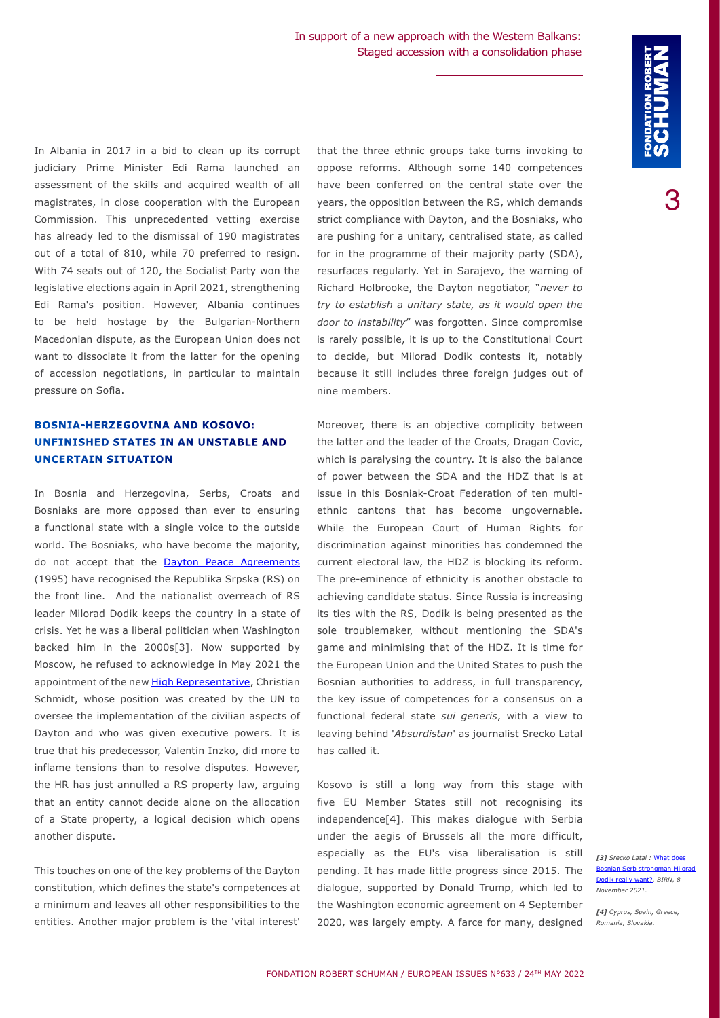In Albania in 2017 in a bid to clean up its corrupt judiciary Prime Minister Edi Rama launched an assessment of the skills and acquired wealth of all magistrates, in close cooperation with the European Commission. This unprecedented vetting exercise has already led to the dismissal of 190 magistrates out of a total of 810, while 70 preferred to resign. With 74 seats out of 120, the Socialist Party won the legislative elections again in April 2021, strengthening Edi Rama's position. However, Albania continues to be held hostage by the Bulgarian-Northern Macedonian dispute, as the European Union does not want to dissociate it from the latter for the opening of accession negotiations, in particular to maintain pressure on Sofia.

### **BOSNIA-HERZEGOVINA AND KOSOVO: UNFINISHED STATES IN AN UNSTABLE AND UNCERTAIN SITUATION**

In Bosnia and Herzegovina, Serbs, Croats and Bosniaks are more opposed than ever to ensuring a functional state with a single voice to the outside world. The Bosniaks, who have become the majority, do not accept that the **[Dayton Peace Agreements](https://www.osce.org/bih/126173)** (1995) have recognised the Republika Srpska (RS) on the front line. And the nationalist overreach of RS leader Milorad Dodik keeps the country in a state of crisis. Yet he was a liberal politician when Washington backed him in the 2000s[3]. Now supported by Moscow, he refused to acknowledge in May 2021 the appointment of the new [High Representative,](http://www.ohr.int/en/) Christian Schmidt, whose position was created by the UN to oversee the implementation of the civilian aspects of Dayton and who was given executive powers. It is true that his predecessor, Valentin Inzko, did more to inflame tensions than to resolve disputes. However, the HR has just annulled a RS property law, arguing that an entity cannot decide alone on the allocation of a State property, a logical decision which opens another dispute.

This touches on one of the key problems of the Dayton constitution, which defines the state's competences at a minimum and leaves all other responsibilities to the entities. Another major problem is the 'vital interest' that the three ethnic groups take turns invoking to oppose reforms. Although some 140 competences have been conferred on the central state over the years, the opposition between the RS, which demands strict compliance with Dayton, and the Bosniaks, who are pushing for a unitary, centralised state, as called for in the programme of their majority party (SDA), resurfaces regularly. Yet in Sarajevo, the warning of Richard Holbrooke, the Dayton negotiator, "*never to try to establish a unitary state, as it would open the door to instability*" was forgotten. Since compromise is rarely possible, it is up to the Constitutional Court to decide, but Milorad Dodik contests it, notably because it still includes three foreign judges out of nine members.

Moreover, there is an objective complicity between the latter and the leader of the Croats, Dragan Covic, which is paralysing the country. It is also the balance of power between the SDA and the HDZ that is at issue in this Bosniak-Croat Federation of ten multiethnic cantons that has become ungovernable. While the European Court of Human Rights for discrimination against minorities has condemned the current electoral law, the HDZ is blocking its reform. The pre-eminence of ethnicity is another obstacle to achieving candidate status. Since Russia is increasing its ties with the RS, Dodik is being presented as the sole troublemaker, without mentioning the SDA's game and minimising that of the HDZ. It is time for the European Union and the United States to push the Bosnian authorities to address, in full transparency, the key issue of competences for a consensus on a functional federal state *sui generis*, with a view to leaving behind '*Absurdistan*' as journalist Srecko Latal has called it.

Kosovo is still a long way from this stage with five EU Member States still not recognising its independence[4]. This makes dialogue with Serbia under the aegis of Brussels all the more difficult, especially as the EU's visa liberalisation is still pending. It has made little progress since 2015. The dialogue, supported by Donald Trump, which led to the Washington economic agreement on 4 September 2020, was largely empty. A farce for many, designed

*[3] Srecko Latal :* [What does](https://balkaninsight.com/2021/11/08/what-does-bosnian-serb-strongman-milorad-dodik-really-want/)  **Serb strongman Mil** [Dodik really want?](https://balkaninsight.com/2021/11/08/what-does-bosnian-serb-strongman-milorad-dodik-really-want/)*. BIRN, 8 November 2021.*

*[4] Cyprus, Spain, Greece, Romania, Slovakia.*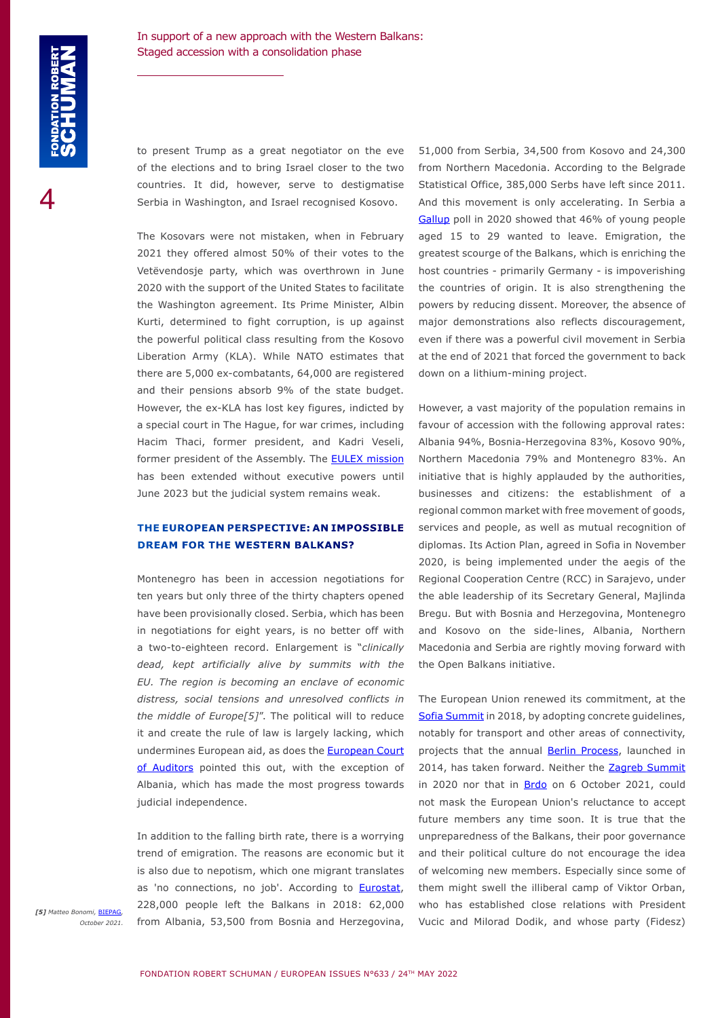to present Trump as a great negotiator on the eve of the elections and to bring Israel closer to the two countries. It did, however, serve to destigmatise Serbia in Washington, and Israel recognised Kosovo.

The Kosovars were not mistaken, when in February 2021 they offered almost 50% of their votes to the Vetëvendosje party, which was overthrown in June 2020 with the support of the United States to facilitate the Washington agreement. Its Prime Minister, Albin Kurti, determined to fight corruption, is up against the powerful political class resulting from the Kosovo Liberation Army (KLA). While NATO estimates that there are 5,000 ex-combatants, 64,000 are registered and their pensions absorb 9% of the state budget. However, the ex-KLA has lost key figures, indicted by a special court in The Hague, for war crimes, including Hacim Thaci, former president, and Kadri Veseli, former president of the Assembly. The **[EULEX mission](https://www.eulex-kosovo.eu/)** has been extended without executive powers until June 2023 but the judicial system remains weak.

#### **THE EUROPEAN PERSPECTIVE: AN IMPOSSIBLE DREAM FOR THE WESTERN BALKANS?**

Montenegro has been in accession negotiations for ten years but only three of the thirty chapters opened have been provisionally closed. Serbia, which has been in negotiations for eight years, is no better off with a two-to-eighteen record. Enlargement is "*clinically dead, kept artificially alive by summits with the EU. The region is becoming an enclave of economic distress, social tensions and unresolved conflicts in the middle of Europe[5]*". The political will to reduce it and create the rule of law is largely lacking, which undermines European aid, as does the [European Court](https://www.eca.europa.eu/Lists/ECADocuments/SR22_01/SR_ROL-Balkans_EN.pdf) [of Auditors](https://www.eca.europa.eu/Lists/ECADocuments/SR22_01/SR_ROL-Balkans_EN.pdf) pointed this out, with the exception of Albania, which has made the most progress towards judicial independence.

In addition to the falling birth rate, there is a worrying trend of emigration. The reasons are economic but it is also due to nepotism, which one migrant translates as 'no connections, no job'. According to **[Eurostat](https://ec.europa.eu/eurostat/documents/4031688/14589427/KS-05-22-089-EN-N.pdf/35508d49-956b-9f20-2c47-1b38636e38b6?t=1651049579047)**, 228,000 people left the Balkans in 2018: 62,000 from Albania, 53,500 from Bosnia and Herzegovina,

51,000 from Serbia, 34,500 from Kosovo and 24,300 from Northern Macedonia. According to the Belgrade Statistical Office, 385,000 Serbs have left since 2011. And this movement is only accelerating. In Serbia a [Gallup](https://www.balkanfund.org/balkan-monitor) poll in 2020 showed that 46% of young people aged 15 to 29 wanted to leave. Emigration, the greatest scourge of the Balkans, which is enriching the host countries - primarily Germany - is impoverishing the countries of origin. It is also strengthening the powers by reducing dissent. Moreover, the absence of major demonstrations also reflects discouragement, even if there was a powerful civil movement in Serbia at the end of 2021 that forced the government to back down on a lithium-mining project.

However, a vast majority of the population remains in favour of accession with the following approval rates: Albania 94%, Bosnia-Herzegovina 83%, Kosovo 90%, Northern Macedonia 79% and Montenegro 83%. An initiative that is highly applauded by the authorities, businesses and citizens: the establishment of a regional common market with free movement of goods, services and people, as well as mutual recognition of diplomas. Its Action Plan, agreed in Sofia in November 2020, is being implemented under the aegis of the Regional Cooperation Centre (RCC) in Sarajevo, under the able leadership of its Secretary General, Majlinda Bregu. But with Bosnia and Herzegovina, Montenegro and Kosovo on the side-lines, Albania, Northern Macedonia and Serbia are rightly moving forward with the Open Balkans initiative.

The European Union renewed its commitment, at the [Sofia Summit](https://www.consilium.europa.eu/en/press/press-releases/2018/05/17/sofia-declaration-of-the-eu-western-balkans-summit/) in 2018, by adopting concrete guidelines, notably for transport and other areas of connectivity, projects that the annual [Berlin Process,](https://europeanwesternbalkans.com/tag/berlin-process/) launched in 2014, has taken forward. Neither the Zagreb Summit in 2020 nor that in **Brdo** on 6 October 2021, could not mask the European Union's reluctance to accept future members any time soon. It is true that the unpreparedness of the Balkans, their poor governance and their political culture do not encourage the idea of welcoming new members. Especially since some of them might swell the illiberal camp of Viktor Orban, who has established close relations with President Vucic and Milorad Dodik, and whose party (Fidesz)

*[5] Matteo Bonomi,* [BIEPAG](https://biepag.eu/publications/)*, October 2021.*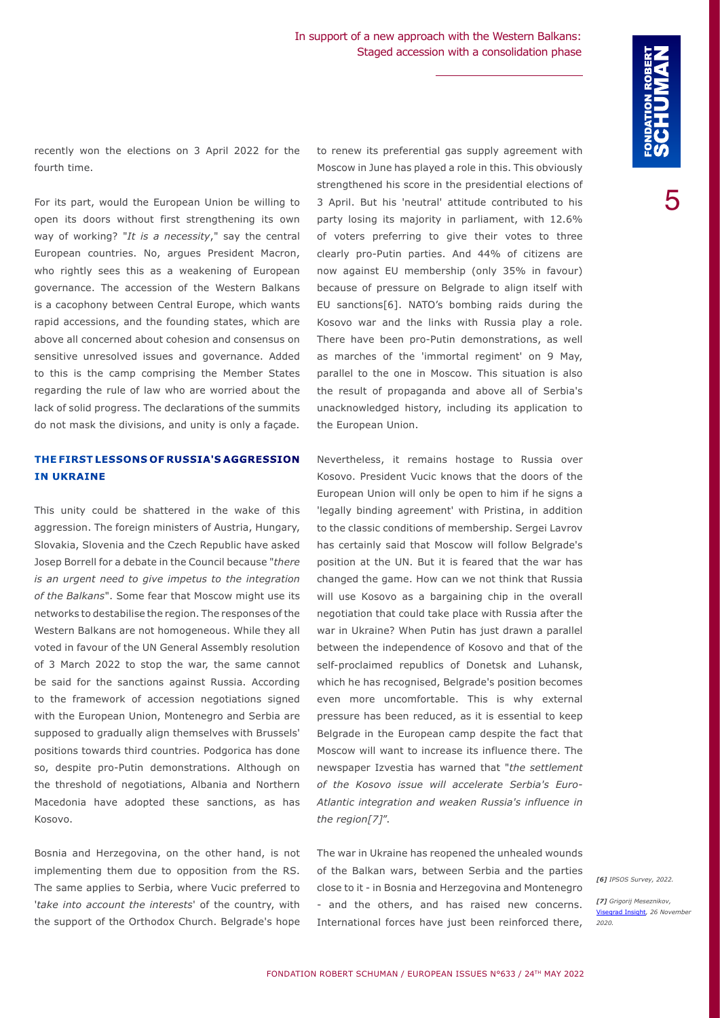recently won the elections on 3 April 2022 for the fourth time.

For its part, would the European Union be willing to open its doors without first strengthening its own way of working? "*It is a necessity*," say the central European countries. No, argues President Macron, who rightly sees this as a weakening of European governance. The accession of the Western Balkans is a cacophony between Central Europe, which wants rapid accessions, and the founding states, which are above all concerned about cohesion and consensus on sensitive unresolved issues and governance. Added to this is the camp comprising the Member States regarding the rule of law who are worried about the lack of solid progress. The declarations of the summits do not mask the divisions, and unity is only a façade.

#### **THE FIRST LESSONS OF RUSSIA'S AGGRESSION IN UKRAINE**

This unity could be shattered in the wake of this aggression. The foreign ministers of Austria, Hungary, Slovakia, Slovenia and the Czech Republic have asked Josep Borrell for a debate in the Council because "*there is an urgent need to give impetus to the integration of the Balkans*". Some fear that Moscow might use its networks to destabilise the region. The responses of the Western Balkans are not homogeneous. While they all voted in favour of the UN General Assembly resolution of 3 March 2022 to stop the war, the same cannot be said for the sanctions against Russia. According to the framework of accession negotiations signed with the European Union, Montenegro and Serbia are supposed to gradually align themselves with Brussels' positions towards third countries. Podgorica has done so, despite pro-Putin demonstrations. Although on the threshold of negotiations, Albania and Northern Macedonia have adopted these sanctions, as has Kosovo.

Bosnia and Herzegovina, on the other hand, is not implementing them due to opposition from the RS. The same applies to Serbia, where Vucic preferred to '*take into account the interests*' of the country, with the support of the Orthodox Church. Belgrade's hope

to renew its preferential gas supply agreement with Moscow in June has played a role in this. This obviously strengthened his score in the presidential elections of 3 April. But his 'neutral' attitude contributed to his party losing its majority in parliament, with 12.6% of voters preferring to give their votes to three clearly pro-Putin parties. And 44% of citizens are now against EU membership (only 35% in favour) because of pressure on Belgrade to align itself with EU sanctions[6]. NATO's bombing raids during the Kosovo war and the links with Russia play a role. There have been pro-Putin demonstrations, as well as marches of the 'immortal regiment' on 9 May, parallel to the one in Moscow. This situation is also the result of propaganda and above all of Serbia's unacknowledged history, including its application to the European Union.

Nevertheless, it remains hostage to Russia over Kosovo. President Vucic knows that the doors of the European Union will only be open to him if he signs a 'legally binding agreement' with Pristina, in addition to the classic conditions of membership. Sergei Lavrov has certainly said that Moscow will follow Belgrade's position at the UN. But it is feared that the war has changed the game. How can we not think that Russia will use Kosovo as a bargaining chip in the overall negotiation that could take place with Russia after the war in Ukraine? When Putin has just drawn a parallel between the independence of Kosovo and that of the self-proclaimed republics of Donetsk and Luhansk, which he has recognised, Belgrade's position becomes even more uncomfortable. This is why external pressure has been reduced, as it is essential to keep Belgrade in the European camp despite the fact that Moscow will want to increase its influence there. The newspaper Izvestia has warned that "*the settlement of the Kosovo issue will accelerate Serbia's Euro-Atlantic integration and weaken Russia's influence in the region[7]*".

The war in Ukraine has reopened the unhealed wounds of the Balkan wars, between Serbia and the parties close to it - in Bosnia and Herzegovina and Montenegro - and the others, and has raised new concerns. International forces have just been reinforced there,

*[6] IPSOS Survey, 2022.*

*[7] Grigorij Meseznikov,*  d Insight, 26 November *2020.*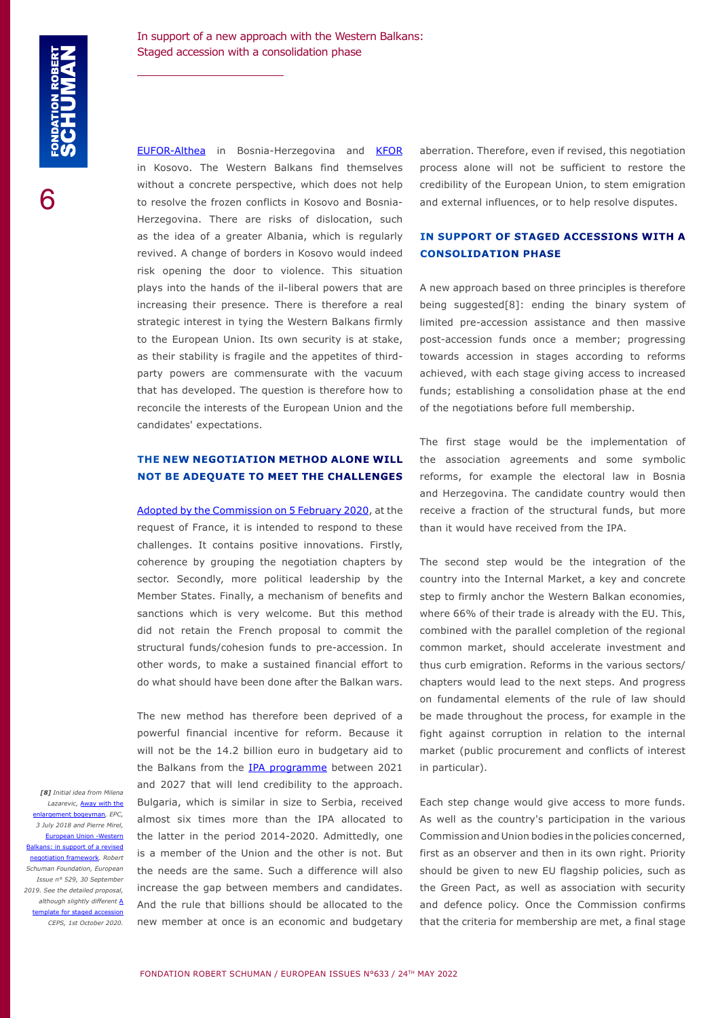[EUFOR-Althea](https://euforbih.org/index.php) in Bosnia-Herzegovina and [KFOR](https://jfcnaples.nato.int/kfor) in Kosovo. The Western Balkans find themselves without a concrete perspective, which does not help to resolve the frozen conflicts in Kosovo and Bosnia-Herzegovina. There are risks of dislocation, such as the idea of a greater Albania, which is regularly revived. A change of borders in Kosovo would indeed risk opening the door to violence. This situation plays into the hands of the il-liberal powers that are increasing their presence. There is therefore a real strategic interest in tying the Western Balkans firmly to the European Union. Its own security is at stake, as their stability is fragile and the appetites of thirdparty powers are commensurate with the vacuum that has developed. The question is therefore how to reconcile the interests of the European Union and the candidates' expectations.

#### **THE NEW NEGOTIATION METHOD ALONE WILL NOT BE ADEQUATE TO MEET THE CHALLENGES**

[Adopted by the Commission on 5 February 2020](https://eur-lex.europa.eu/legal-content/EN/TXT/PDF/?uri=CELEX:52020DC0057), at the request of France, it is intended to respond to these challenges. It contains positive innovations. Firstly, coherence by grouping the negotiation chapters by sector. Secondly, more political leadership by the Member States. Finally, a mechanism of benefits and sanctions which is very welcome. But this method did not retain the French proposal to commit the structural funds/cohesion funds to pre-accession. In other words, to make a sustained financial effort to do what should have been done after the Balkan wars.

The new method has therefore been deprived of a powerful financial incentive for reform. Because it

will not be the 14.2 billion euro in budgetary aid to the Balkans from the [IPA programme](https://ec.europa.eu/neighbourhood-enlargement/enlargement-policy/overview-instrument-pre-accession-assistance_en) between 2021 and 2027 that will lend credibility to the approach. Bulgaria, which is similar in size to Serbia, received almost six times more than the IPA allocated to the latter in the period 2014-2020. Admittedly, one is a member of the Union and the other is not. But the needs are the same. Such a difference will also increase the gap between members and candidates. And the rule that billions should be allocated to the new member at once is an economic and budgetary *[8] Initial idea from Milena Lazarevic,* [Away with the](https://cep.org.rs/en/publications/away-with-the-enlargement-bogeyman/) rgement bogeyman, EPC, *3 July 2018 and Pierre Mirel,*  [European Union -Western](https://www.robert-schuman.eu/en/doc/questions-d-europe/qe-529-en.pdf) [Balkans: in support of a revised](https://www.robert-schuman.eu/en/doc/questions-d-europe/qe-529-en.pdf) [negotiation framework](https://www.robert-schuman.eu/en/doc/questions-d-europe/qe-529-en.pdf)*. Robert Schuman Foundation, European Issue n° 529, 30 September 2019. See the detailed proposal, although slightly different* [A](https://www.ceps.eu/ceps-publications/a-template-for-staged-accession-to-the-eu/) [template for staged accession](https://www.ceps.eu/ceps-publications/a-template-for-staged-accession-to-the-eu/) *CEPS, 1st October 2020.*

aberration. Therefore, even if revised, this negotiation process alone will not be sufficient to restore the credibility of the European Union, to stem emigration and external influences, or to help resolve disputes.

#### **IN SUPPORT OF STAGED ACCESSIONS WITH A CONSOLIDATION PHASE**

A new approach based on three principles is therefore being suggested[8]: ending the binary system of limited pre-accession assistance and then massive post-accession funds once a member; progressing towards accession in stages according to reforms achieved, with each stage giving access to increased funds; establishing a consolidation phase at the end of the negotiations before full membership.

The first stage would be the implementation of the association agreements and some symbolic reforms, for example the electoral law in Bosnia and Herzegovina. The candidate country would then receive a fraction of the structural funds, but more than it would have received from the IPA.

The second step would be the integration of the country into the Internal Market, a key and concrete step to firmly anchor the Western Balkan economies, where 66% of their trade is already with the EU. This, combined with the parallel completion of the regional common market, should accelerate investment and thus curb emigration. Reforms in the various sectors/ chapters would lead to the next steps. And progress on fundamental elements of the rule of law should be made throughout the process, for example in the fight against corruption in relation to the internal market (public procurement and conflicts of interest in particular).

Each step change would give access to more funds. As well as the country's participation in the various Commission and Union bodies in the policies concerned, first as an observer and then in its own right. Priority should be given to new EU flagship policies, such as the Green Pact, as well as association with security and defence policy. Once the Commission confirms that the criteria for membership are met, a final stage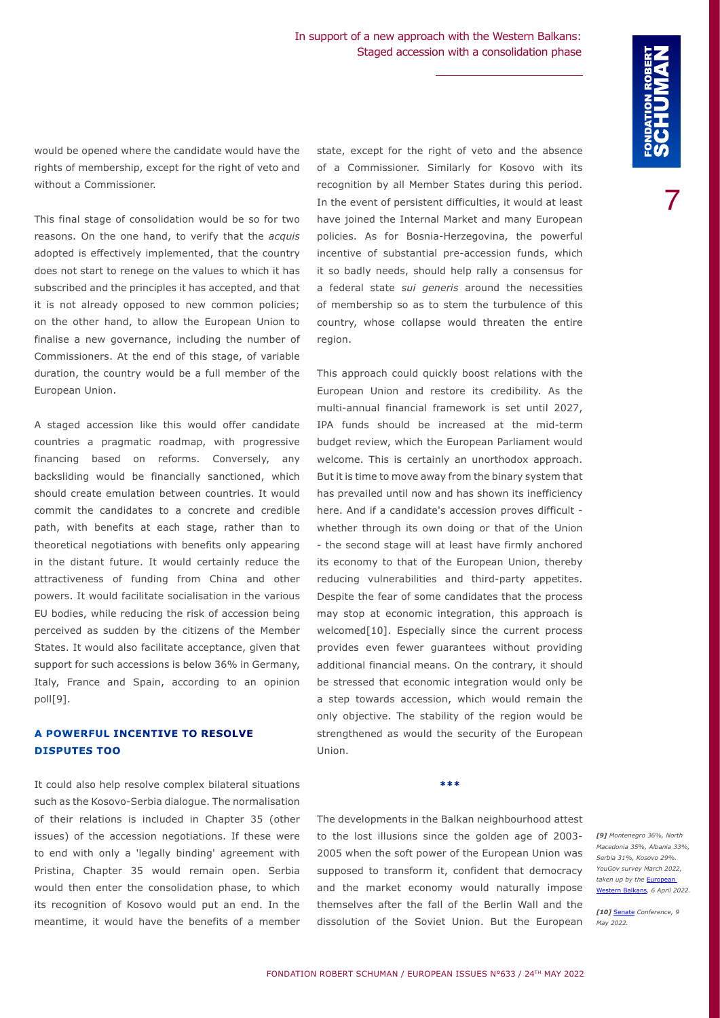would be opened where the candidate would have the rights of membership, except for the right of veto and without a Commissioner.

This final stage of consolidation would be so for two reasons. On the one hand, to verify that the *acquis* adopted is effectively implemented, that the country does not start to renege on the values to which it has subscribed and the principles it has accepted, and that it is not already opposed to new common policies; on the other hand, to allow the European Union to finalise a new governance, including the number of Commissioners. At the end of this stage, of variable duration, the country would be a full member of the European Union.

A staged accession like this would offer candidate countries a pragmatic roadmap, with progressive financing based on reforms. Conversely, any backsliding would be financially sanctioned, which should create emulation between countries. It would commit the candidates to a concrete and credible path, with benefits at each stage, rather than to theoretical negotiations with benefits only appearing in the distant future. It would certainly reduce the attractiveness of funding from China and other powers. It would facilitate socialisation in the various EU bodies, while reducing the risk of accession being perceived as sudden by the citizens of the Member States. It would also facilitate acceptance, given that support for such accessions is below 36% in Germany, Italy, France and Spain, according to an opinion poll[9].

#### **A POWERFUL INCENTIVE TO RESOLVE DISPUTES TOO**

It could also help resolve complex bilateral situations such as the Kosovo-Serbia dialogue. The normalisation of their relations is included in Chapter 35 (other issues) of the accession negotiations. If these were to end with only a 'legally binding' agreement with Pristina, Chapter 35 would remain open. Serbia would then enter the consolidation phase, to which its recognition of Kosovo would put an end. In the meantime, it would have the benefits of a member

state, except for the right of veto and the absence of a Commissioner. Similarly for Kosovo with its recognition by all Member States during this period. In the event of persistent difficulties, it would at least have joined the Internal Market and many European policies. As for Bosnia-Herzegovina, the powerful incentive of substantial pre-accession funds, which it so badly needs, should help rally a consensus for a federal state *sui generis* around the necessities of membership so as to stem the turbulence of this country, whose collapse would threaten the entire region.

This approach could quickly boost relations with the European Union and restore its credibility. As the multi-annual financial framework is set until 2027, IPA funds should be increased at the mid-term budget review, which the European Parliament would welcome. This is certainly an unorthodox approach. But it is time to move away from the binary system that has prevailed until now and has shown its inefficiency here. And if a candidate's accession proves difficult whether through its own doing or that of the Union - the second stage will at least have firmly anchored its economy to that of the European Union, thereby reducing vulnerabilities and third-party appetites. Despite the fear of some candidates that the process may stop at economic integration, this approach is welcomed[10]. Especially since the current process provides even fewer guarantees without providing additional financial means. On the contrary, it should be stressed that economic integration would only be a step towards accession, which would remain the only objective. The stability of the region would be strengthened as would the security of the European Union.

The developments in the Balkan neighbourhood attest to the lost illusions since the golden age of 2003- 2005 when the soft power of the European Union was supposed to transform it, confident that democracy and the market economy would naturally impose themselves after the fall of the Berlin Wall and the dissolution of the Soviet Union. But the European

**\*\*\***

*[9] Montenegro 36%, North Macedonia 35%, Albania 33%, Serbia 31%, Kosovo 29%. YouGov survey March 2022, taken up by the* [European](https://europeanwesternbalkans.com/2022/04/06/opinion-poll-leading-eu-countries-want-ukraine-more-than-western-balkans/)  [Western Balkans](https://europeanwesternbalkans.com/2022/04/06/opinion-poll-leading-eu-countries-want-ukraine-more-than-western-balkans/)*, 6 April 2022.*

*[10]* [Senate](https://en.bfpe.org/calendar-bfpe-events/balkan-dialogues-re-thinking-the-western-balkans-eu-integration-in-the-new-geopolitical-context/) *Conference, 9 May 2022.*